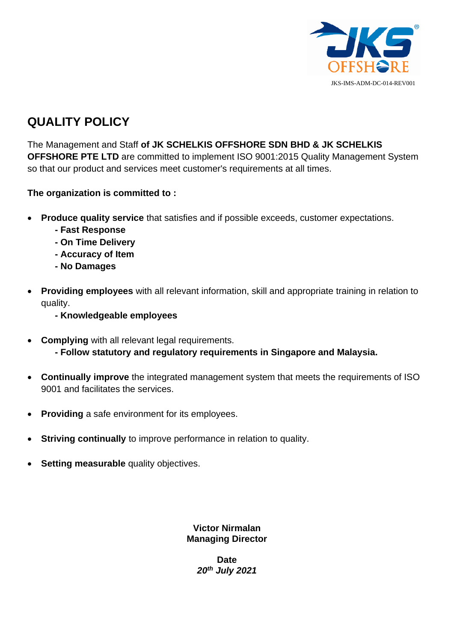

## **QUALITY POLICY**

The Management and Staff **of JK SCHELKIS OFFSHORE SDN BHD & JK SCHELKIS OFFSHORE PTE LTD** are committed to implement ISO 9001:2015 Quality Management System so that our product and services meet customer's requirements at all times.

### **The organization is committed to :**

- **Produce quality service** that satisfies and if possible exceeds, customer expectations.
	- **- Fast Response**
	- **- On Time Delivery**
	- **- Accuracy of Item**
	- **- No Damages**
- **Providing employees** with all relevant information, skill and appropriate training in relation to quality.
	- **- Knowledgeable employees**
- **Complying** with all relevant legal requirements. **- Follow statutory and regulatory requirements in Singapore and Malaysia.**
- **Continually improve** the integrated management system that meets the requirements of ISO 9001 and facilitates the services.
- **Providing** a safe environment for its employees.
- **Striving continually** to improve performance in relation to quality.
- **Setting measurable** quality objectives.

**Victor Nirmalan Managing Director**

> **Date** *20th July 2021*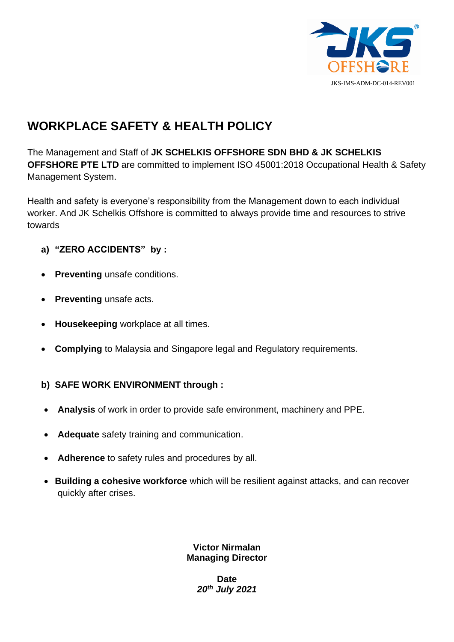

# **WORKPLACE SAFETY & HEALTH POLICY**

The Management and Staff of **JK SCHELKIS OFFSHORE SDN BHD & JK SCHELKIS OFFSHORE PTE LTD** are committed to implement ISO 45001:2018 Occupational Health & Safety Management System.

Health and safety is everyone's responsibility from the Management down to each individual worker. And JK Schelkis Offshore is committed to always provide time and resources to strive towards

- **a) "ZERO ACCIDENTS" by :**
- **Preventing** unsafe conditions.
- **Preventing** unsafe acts.
- **Housekeeping** workplace at all times.
- **Complying** to Malaysia and Singapore legal and Regulatory requirements.
- **b) SAFE WORK ENVIRONMENT through :**
- **Analysis** of work in order to provide safe environment, machinery and PPE.
- **Adequate** safety training and communication.
- **Adherence** to safety rules and procedures by all.
- **Building a cohesive workforce** which will be resilient against attacks, and can recover quickly after crises.

#### **Victor Nirmalan Managing Director**

**Date** *20th July 2021*